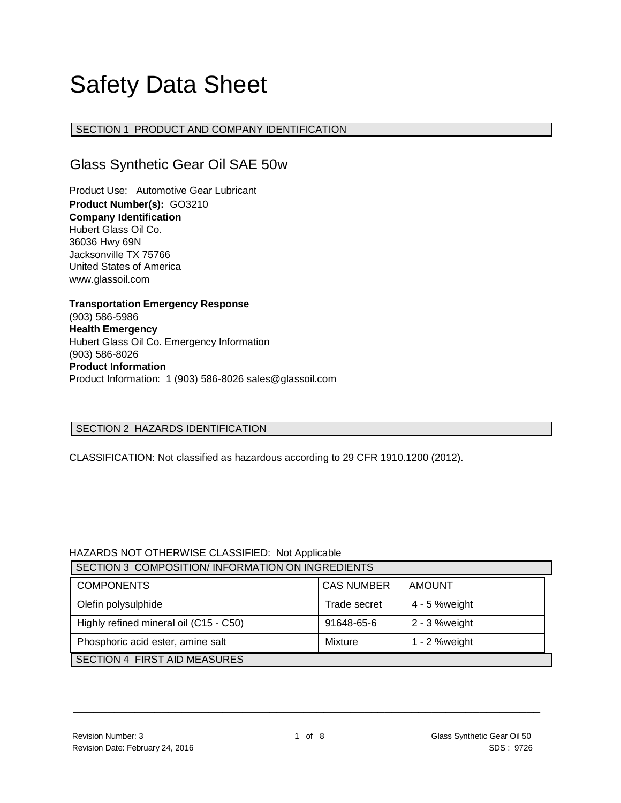# Safety Data Sheet

# SECTION 1 PRODUCT AND COMPANY IDENTIFICATION

# Glass Synthetic Gear Oil SAE 50w

Product Use: Automotive Gear Lubricant **Product Number(s):** GO3210 **Company Identification** Hubert Glass Oil Co. 36036 Hwy 69N Jacksonville TX 75766 United States of America www.glassoil.com

**Transportation Emergency Response** (903) 586-5986 **Health Emergency** Hubert Glass Oil Co. Emergency Information (903) 586-8026 **Product Information**  Product Information: 1 (903) 586-8026 sales@glassoil.com

# SECTION 2 HAZARDS IDENTIFICATION

CLASSIFICATION: Not classified as hazardous according to 29 CFR 1910.1200 (2012).

# HAZARDS NOT OTHERWISE CLASSIFIED: Not Applicable

| SECTION 3 COMPOSITION/INFORMATION ON INGREDIENTS |                   |                  |  |  |
|--------------------------------------------------|-------------------|------------------|--|--|
| <b>COMPONENTS</b>                                | <b>CAS NUMBER</b> | AMOUNT           |  |  |
| Olefin polysulphide                              | Trade secret      | 4 - 5 % weight   |  |  |
| Highly refined mineral oil (C15 - C50)           | 91648-65-6        | 2 - 3 %weight    |  |  |
| Phosphoric acid ester, amine salt                | Mixture           | 1 - $2$ % weight |  |  |
| SECTION 4 FIRST AID MEASURES                     |                   |                  |  |  |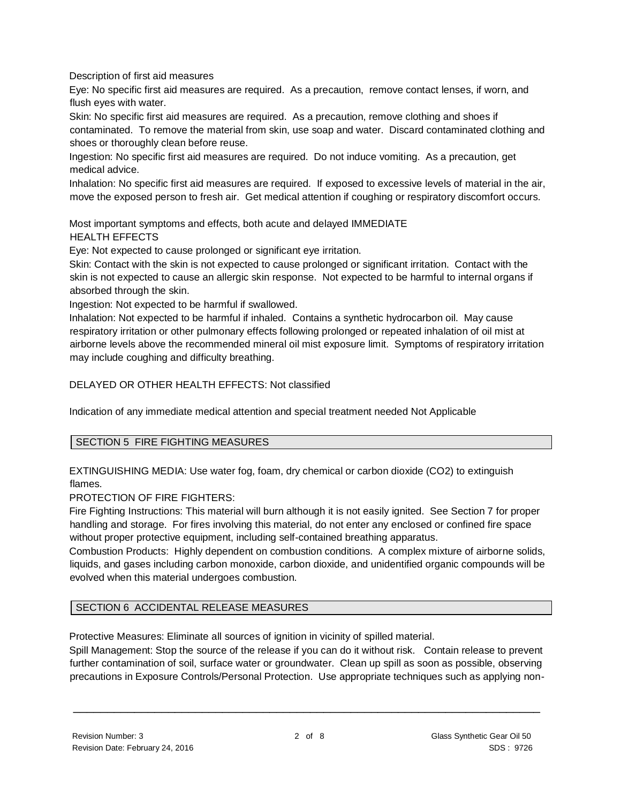Description of first aid measures

Eye: No specific first aid measures are required. As a precaution, remove contact lenses, if worn, and flush eyes with water.

Skin: No specific first aid measures are required. As a precaution, remove clothing and shoes if contaminated. To remove the material from skin, use soap and water. Discard contaminated clothing and shoes or thoroughly clean before reuse.

Ingestion: No specific first aid measures are required. Do not induce vomiting. As a precaution, get medical advice.

Inhalation: No specific first aid measures are required. If exposed to excessive levels of material in the air, move the exposed person to fresh air. Get medical attention if coughing or respiratory discomfort occurs.

Most important symptoms and effects, both acute and delayed IMMEDIATE HEALTH EFFECTS

Eye: Not expected to cause prolonged or significant eye irritation.

Skin: Contact with the skin is not expected to cause prolonged or significant irritation. Contact with the skin is not expected to cause an allergic skin response. Not expected to be harmful to internal organs if absorbed through the skin.

Ingestion: Not expected to be harmful if swallowed.

Inhalation: Not expected to be harmful if inhaled. Contains a synthetic hydrocarbon oil. May cause respiratory irritation or other pulmonary effects following prolonged or repeated inhalation of oil mist at airborne levels above the recommended mineral oil mist exposure limit. Symptoms of respiratory irritation may include coughing and difficulty breathing.

DELAYED OR OTHER HEALTH EFFECTS: Not classified

Indication of any immediate medical attention and special treatment needed Not Applicable

#### SECTION 5 FIRE FIGHTING MEASURES

EXTINGUISHING MEDIA: Use water fog, foam, dry chemical or carbon dioxide (CO2) to extinguish flames.

PROTECTION OF FIRE FIGHTERS:

Fire Fighting Instructions: This material will burn although it is not easily ignited. See Section 7 for proper handling and storage. For fires involving this material, do not enter any enclosed or confined fire space without proper protective equipment, including self-contained breathing apparatus.

Combustion Products: Highly dependent on combustion conditions. A complex mixture of airborne solids, liquids, and gases including carbon monoxide, carbon dioxide, and unidentified organic compounds will be evolved when this material undergoes combustion.

# SECTION 6 ACCIDENTAL RELEASE MEASURES

Protective Measures: Eliminate all sources of ignition in vicinity of spilled material.

Spill Management: Stop the source of the release if you can do it without risk. Contain release to prevent further contamination of soil, surface water or groundwater. Clean up spill as soon as possible, observing precautions in Exposure Controls/Personal Protection. Use appropriate techniques such as applying non-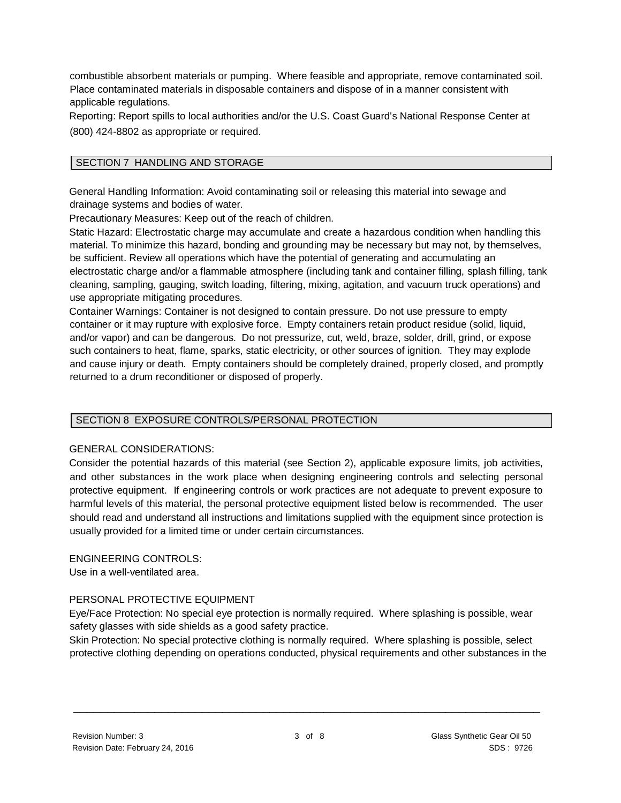combustible absorbent materials or pumping. Where feasible and appropriate, remove contaminated soil. Place contaminated materials in disposable containers and dispose of in a manner consistent with applicable regulations.

Reporting: Report spills to local authorities and/or the U.S. Coast Guard's National Response Center at (800) 424-8802 as appropriate or required.

# SECTION 7 HANDLING AND STORAGE

General Handling Information: Avoid contaminating soil or releasing this material into sewage and drainage systems and bodies of water.

Precautionary Measures: Keep out of the reach of children.

Static Hazard: Electrostatic charge may accumulate and create a hazardous condition when handling this material. To minimize this hazard, bonding and grounding may be necessary but may not, by themselves, be sufficient. Review all operations which have the potential of generating and accumulating an electrostatic charge and/or a flammable atmosphere (including tank and container filling, splash filling, tank cleaning, sampling, gauging, switch loading, filtering, mixing, agitation, and vacuum truck operations) and use appropriate mitigating procedures.

Container Warnings: Container is not designed to contain pressure. Do not use pressure to empty container or it may rupture with explosive force. Empty containers retain product residue (solid, liquid, and/or vapor) and can be dangerous. Do not pressurize, cut, weld, braze, solder, drill, grind, or expose such containers to heat, flame, sparks, static electricity, or other sources of ignition. They may explode and cause injury or death. Empty containers should be completely drained, properly closed, and promptly returned to a drum reconditioner or disposed of properly.

#### SECTION 8 EXPOSURE CONTROLS/PERSONAL PROTECTION

#### GENERAL CONSIDERATIONS:

Consider the potential hazards of this material (see Section 2), applicable exposure limits, job activities, and other substances in the work place when designing engineering controls and selecting personal protective equipment. If engineering controls or work practices are not adequate to prevent exposure to harmful levels of this material, the personal protective equipment listed below is recommended. The user should read and understand all instructions and limitations supplied with the equipment since protection is usually provided for a limited time or under certain circumstances.

#### ENGINEERING CONTROLS:

Use in a well-ventilated area.

#### PERSONAL PROTECTIVE EQUIPMENT

Eye/Face Protection: No special eye protection is normally required. Where splashing is possible, wear safety glasses with side shields as a good safety practice.

Skin Protection: No special protective clothing is normally required. Where splashing is possible, select protective clothing depending on operations conducted, physical requirements and other substances in the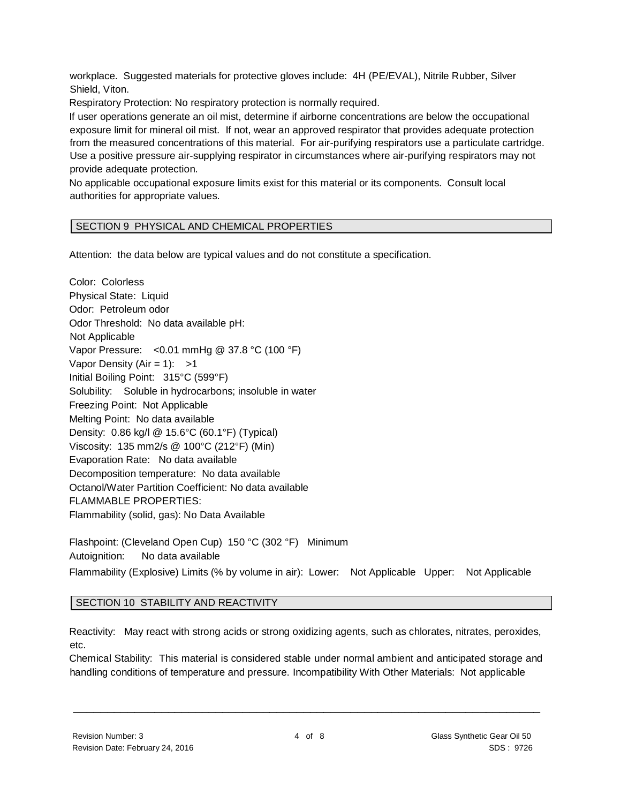workplace. Suggested materials for protective gloves include: 4H (PE/EVAL), Nitrile Rubber, Silver Shield, Viton.

Respiratory Protection: No respiratory protection is normally required.

If user operations generate an oil mist, determine if airborne concentrations are below the occupational exposure limit for mineral oil mist. If not, wear an approved respirator that provides adequate protection from the measured concentrations of this material. For air-purifying respirators use a particulate cartridge. Use a positive pressure air-supplying respirator in circumstances where air-purifying respirators may not provide adequate protection.

No applicable occupational exposure limits exist for this material or its components. Consult local authorities for appropriate values.

#### SECTION 9 PHYSICAL AND CHEMICAL PROPERTIES

Attention: the data below are typical values and do not constitute a specification.

Color: Colorless Physical State: Liquid Odor: Petroleum odor Odor Threshold: No data available pH: Not Applicable Vapor Pressure: <0.01 mmHg @ 37.8 °C (100 °F) Vapor Density (Air = 1):  $>1$ Initial Boiling Point: 315°C (599°F) Solubility: Soluble in hydrocarbons; insoluble in water Freezing Point: Not Applicable Melting Point: No data available Density: 0.86 kg/l @ 15.6°C (60.1°F) (Typical) Viscosity: 135 mm2/s @ 100°C (212°F) (Min) Evaporation Rate: No data available Decomposition temperature: No data available Octanol/Water Partition Coefficient: No data available FLAMMABLE PROPERTIES: Flammability (solid, gas): No Data Available Flashpoint: (Cleveland Open Cup) 150 °C (302 °F) Minimum

Autoignition: No data available Flammability (Explosive) Limits (% by volume in air): Lower: Not Applicable Upper: Not Applicable

#### SECTION 10 STABILITY AND REACTIVITY

Reactivity: May react with strong acids or strong oxidizing agents, such as chlorates, nitrates, peroxides, etc.

Chemical Stability: This material is considered stable under normal ambient and anticipated storage and handling conditions of temperature and pressure. Incompatibility With Other Materials: Not applicable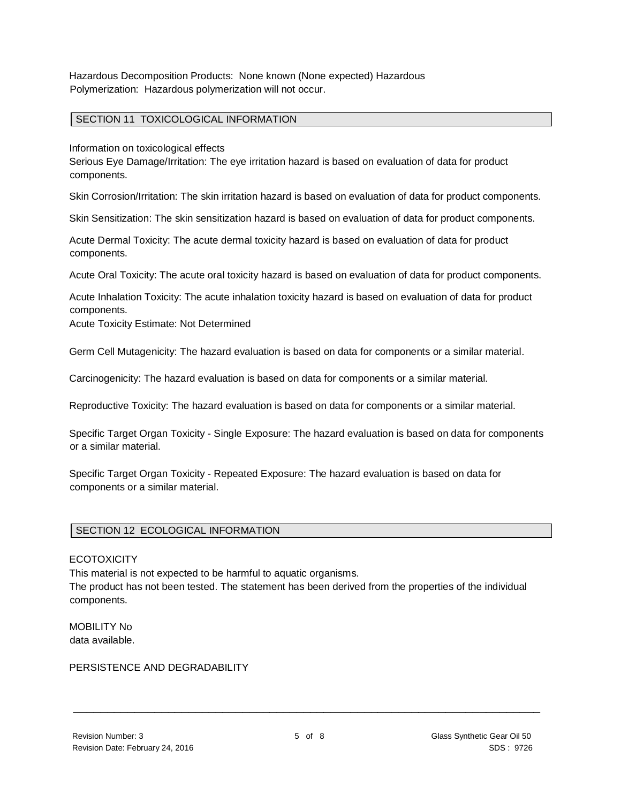Hazardous Decomposition Products: None known (None expected) Hazardous Polymerization: Hazardous polymerization will not occur.

#### SECTION 11 TOXICOLOGICAL INFORMATION

Information on toxicological effects

Serious Eye Damage/Irritation: The eye irritation hazard is based on evaluation of data for product components.

Skin Corrosion/Irritation: The skin irritation hazard is based on evaluation of data for product components.

Skin Sensitization: The skin sensitization hazard is based on evaluation of data for product components.

Acute Dermal Toxicity: The acute dermal toxicity hazard is based on evaluation of data for product components.

Acute Oral Toxicity: The acute oral toxicity hazard is based on evaluation of data for product components.

Acute Inhalation Toxicity: The acute inhalation toxicity hazard is based on evaluation of data for product components.

Acute Toxicity Estimate: Not Determined

Germ Cell Mutagenicity: The hazard evaluation is based on data for components or a similar material.

Carcinogenicity: The hazard evaluation is based on data for components or a similar material.

Reproductive Toxicity: The hazard evaluation is based on data for components or a similar material.

Specific Target Organ Toxicity - Single Exposure: The hazard evaluation is based on data for components or a similar material.

Specific Target Organ Toxicity - Repeated Exposure: The hazard evaluation is based on data for components or a similar material.

#### SECTION 12 ECOLOGICAL INFORMATION

#### **ECOTOXICITY**

This material is not expected to be harmful to aquatic organisms.

The product has not been tested. The statement has been derived from the properties of the individual components.

MOBILITY No data available.

#### PERSISTENCE AND DEGRADABILITY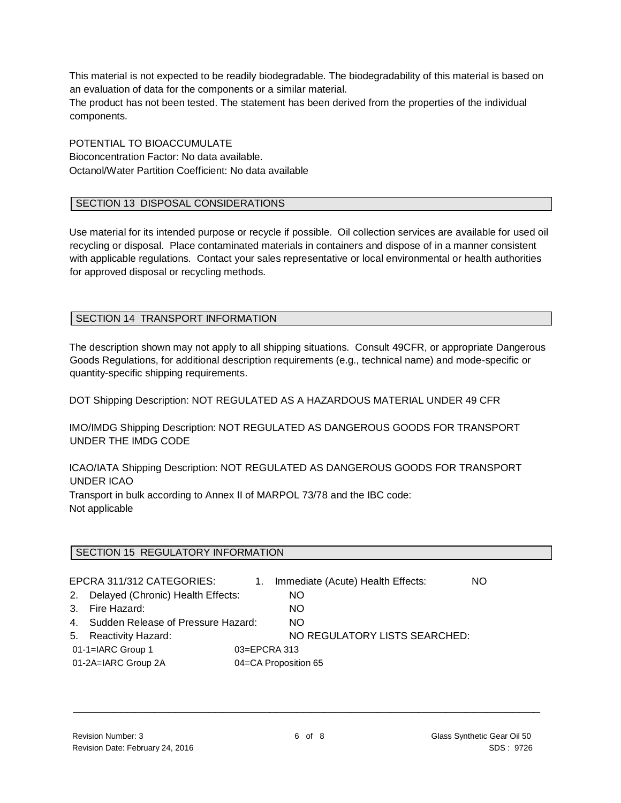This material is not expected to be readily biodegradable. The biodegradability of this material is based on an evaluation of data for the components or a similar material.

The product has not been tested. The statement has been derived from the properties of the individual components.

POTENTIAL TO BIOACCUMULATE Bioconcentration Factor: No data available. Octanol/Water Partition Coefficient: No data available

#### SECTION 13 DISPOSAL CONSIDERATIONS

Use material for its intended purpose or recycle if possible. Oil collection services are available for used oil recycling or disposal. Place contaminated materials in containers and dispose of in a manner consistent with applicable regulations. Contact your sales representative or local environmental or health authorities for approved disposal or recycling methods.

#### SECTION 14 TRANSPORT INFORMATION

The description shown may not apply to all shipping situations. Consult 49CFR, or appropriate Dangerous Goods Regulations, for additional description requirements (e.g., technical name) and mode-specific or quantity-specific shipping requirements.

DOT Shipping Description: NOT REGULATED AS A HAZARDOUS MATERIAL UNDER 49 CFR

IMO/IMDG Shipping Description: NOT REGULATED AS DANGEROUS GOODS FOR TRANSPORT UNDER THE IMDG CODE

ICAO/IATA Shipping Description: NOT REGULATED AS DANGEROUS GOODS FOR TRANSPORT UNDER ICAO

Transport in bulk according to Annex II of MARPOL 73/78 and the IBC code: Not applicable

#### SECTION 15 REGULATORY INFORMATION

|                                             | EPCRA 311/312 CATEGORIES:             | 1. | Immediate (Acute) Health Effects: | NO. |
|---------------------------------------------|---------------------------------------|----|-----------------------------------|-----|
|                                             | 2. Delayed (Chronic) Health Effects:  |    | NO.                               |     |
|                                             | 3. Fire Hazard:                       |    | NO.                               |     |
|                                             | 4. Sudden Release of Pressure Hazard: |    | NO.                               |     |
|                                             | 5. Reactivity Hazard:                 |    | NO REGULATORY LISTS SEARCHED:     |     |
|                                             | 01-1=IARC Group 1<br>03=EPCRA 313     |    |                                   |     |
| 01-2A=IARC Group 2A<br>04=CA Proposition 65 |                                       |    |                                   |     |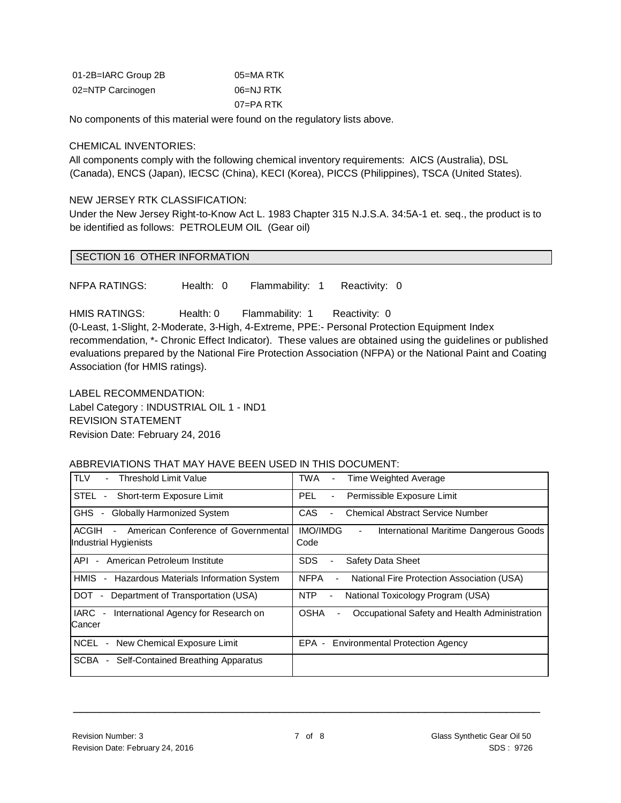| 01-2B=IARC Group 2B | 05=MA RTK |
|---------------------|-----------|
| 02=NTP Carcinogen   | 06=NJ RTK |
|                     | 07=PA RTK |

No components of this material were found on the regulatory lists above.

#### CHEMICAL INVENTORIES:

All components comply with the following chemical inventory requirements: AICS (Australia), DSL (Canada), ENCS (Japan), IECSC (China), KECI (Korea), PICCS (Philippines), TSCA (United States).

#### NEW JERSEY RTK CLASSIFICATION:

Under the New Jersey Right-to-Know Act L. 1983 Chapter 315 N.J.S.A. 34:5A-1 et. seq., the product is to be identified as follows: PETROLEUM OIL (Gear oil)

#### SECTION 16 OTHER INFORMATION

NFPA RATINGS: Health: 0 Flammability: 1 Reactivity: 0

HMIS RATINGS: Health: 0 Flammability: 1 Reactivity: 0

(0-Least, 1-Slight, 2-Moderate, 3-High, 4-Extreme, PPE:- Personal Protection Equipment Index recommendation, \*- Chronic Effect Indicator). These values are obtained using the guidelines or published evaluations prepared by the National Fire Protection Association (NFPA) or the National Paint and Coating Association (for HMIS ratings).

LABEL RECOMMENDATION: Label Category : INDUSTRIAL OIL 1 - IND1 REVISION STATEMENT Revision Date: February 24, 2016

#### ABBREVIATIONS THAT MAY HAVE BEEN USED IN THIS DOCUMENT:

| <b>TLV</b><br><b>Threshold Limit Value</b>                                              | TWA<br>Time Weighted Average<br>$\blacksquare$                                                |
|-----------------------------------------------------------------------------------------|-----------------------------------------------------------------------------------------------|
| STEL -<br>Short-term Exposure Limit                                                     | Permissible Exposure Limit<br>PEL.<br>$\overline{\phantom{a}}$                                |
| GHS.<br><b>Globally Harmonized System</b><br>$\sim$                                     | CAS<br><b>Chemical Abstract Service Number</b><br>L.                                          |
| ACGIH<br>American Conference of Governmental<br>$\blacksquare$<br>Industrial Hygienists | <b>IMO/IMDG</b><br>International Maritime Dangerous Goods<br>$\overline{\phantom{0}}$<br>Code |
| American Petroleum Institute<br>API<br>$\sim$                                           | <b>SDS</b><br>Safety Data Sheet<br>۰                                                          |
| <b>HMIS</b><br>Hazardous Materials Information System<br>$\overline{\phantom{a}}$       | <b>NFPA</b><br>National Fire Protection Association (USA)                                     |
| DOT<br>Department of Transportation (USA)<br>$\sim$                                     | <b>NTP</b><br>National Toxicology Program (USA)<br>$\overline{\phantom{a}}$                   |
| <b>IARC</b><br>International Agency for Research on<br>$\sim$<br>Cancer                 | <b>OSHA</b><br>Occupational Safety and Health Administration                                  |
| <b>NCEL</b><br>New Chemical Exposure Limit<br>$\blacksquare$                            | EPA -<br><b>Environmental Protection Agency</b>                                               |
| SCBA<br>Self-Contained Breathing Apparatus<br>$\blacksquare$                            |                                                                                               |